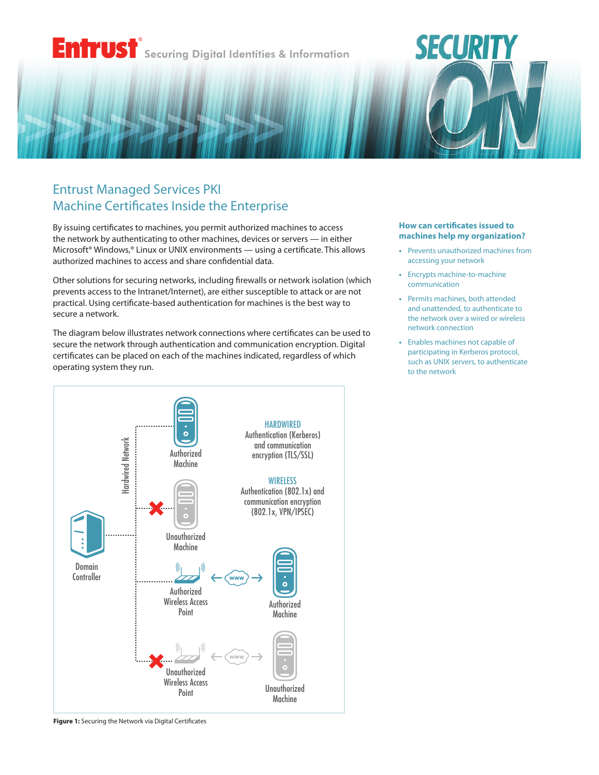# **Entrust** Securing Digital Identities & Information

## Entrust Managed Services PKI Machine Certificates Inside the Enterprise

By issuing certificates to machines, you permit authorized machines to access the network by authenticating to other machines, devices or servers — in either Microsoft® Windows,® Linux or UNIX environments — using a certificate. This allows authorized machines to access and share confidential data.

Other solutions for securing networks, including firewalls or network isolation (which prevents access to the Intranet/Internet), are either susceptible to attack or are not practical. Using certificate-based authentication for machines is the best way to secure a network.

The diagram below illustrates network connections where certificates can be used to secure the network through authentication and communication encryption. Digital certificates can be placed on each of the machines indicated, regardless of which operating system they run.



## **How can certificates issued to machines help my organization?**

SECURIT

- **•** Prevents unauthorized machines from accessing your network
- **•** Encrypts machine-to-machine communication
- **•** Permits machines, both attended and unattended, to authenticate to the network over a wired or wireless network connection
- **•** Enables machines not capable of participating in Kerberos protocol, such as UNIX servers, to authenticate to the network

**Figure 1:** Securing the Network via Digital Certificates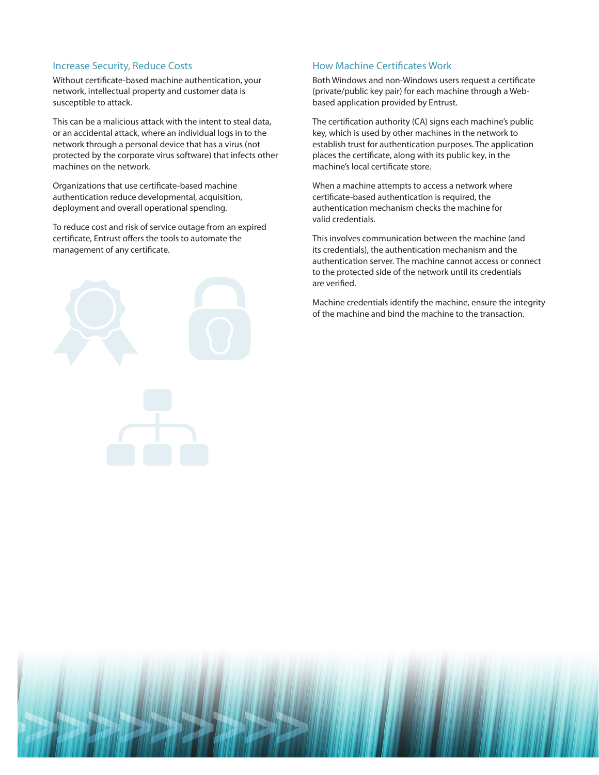## Increase Security, Reduce Costs

Without certificate-based machine authentication, your network, intellectual property and customer data is susceptible to attack.

This can be a malicious attack with the intent to steal data, or an accidental attack, where an individual logs in to the network through a personal device that has a virus (not protected by the corporate virus software) that infects other machines on the network.

Organizations that use certificate-based machine authentication reduce developmental, acquisition, deployment and overall operational spending.

To reduce cost and risk of service outage from an expired certificate, Entrust offers the tools to automate the management of any certificate.



## How Machine Certificates Work

Both Windows and non-Windows users request a certificate (private/public key pair) for each machine through a Webbased application provided by Entrust.

The certification authority (CA) signs each machine's public key, which is used by other machines in the network to establish trust for authentication purposes. The application places the certificate, along with its public key, in the machine's local certificate store.

When a machine attempts to access a network where certificate-based authentication is required, the authentication mechanism checks the machine for valid credentials.

This involves communication between the machine (and its credentials), the authentication mechanism and the authentication server. The machine cannot access or connect to the protected side of the network until its credentials are verified.

Machine credentials identify the machine, ensure the integrity of the machine and bind the machine to the transaction.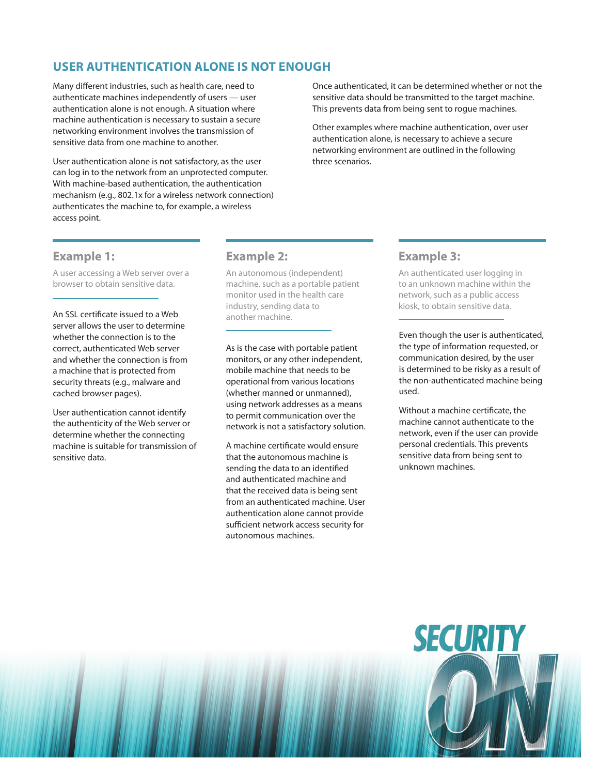## **USER AUTHENTICATION ALONE IS NOT ENOUGH**

Many different industries, such as health care, need to authenticate machines independently of users — user authentication alone is not enough. A situation where machine authentication is necessary to sustain a secure networking environment involves the transmission of sensitive data from one machine to another.

User authentication alone is not satisfactory, as the user can log in to the network from an unprotected computer. With machine-based authentication, the authentication mechanism (e.g., 802.1x for a wireless network connection) authenticates the machine to, for example, a wireless access point.

Once authenticated, it can be determined whether or not the sensitive data should be transmitted to the target machine. This prevents data from being sent to rogue machines.

Other examples where machine authentication, over user authentication alone, is necessary to achieve a secure networking environment are outlined in the following three scenarios.

## **Example 1:**

A user accessing a Web server over a browser to obtain sensitive data.

An SSL certificate issued to a Web server allows the user to determine whether the connection is to the correct, authenticated Web server and whether the connection is from a machine that is protected from security threats (e.g., malware and cached browser pages).

User authentication cannot identify the authenticity of the Web server or determine whether the connecting machine is suitable for transmission of sensitive data.

## **Example 2:**

An autonomous (independent) machine, such as a portable patient monitor used in the health care industry, sending data to another machine.

As is the case with portable patient monitors, or any other independent, mobile machine that needs to be operational from various locations (whether manned or unmanned), using network addresses as a means to permit communication over the network is not a satisfactory solution.

A machine certificate would ensure that the autonomous machine is sending the data to an identified and authenticated machine and that the received data is being sent from an authenticated machine. User authentication alone cannot provide sufficient network access security for autonomous machines.

## **Example 3:**

An authenticated user logging in to an unknown machine within the network, such as a public access kiosk, to obtain sensitive data.

Even though the user is authenticated, the type of information requested, or communication desired, by the user is determined to be risky as a result of the non-authenticated machine being used.

Without a machine certificate, the machine cannot authenticate to the network, even if the user can provide personal credentials. This prevents sensitive data from being sent to unknown machines.